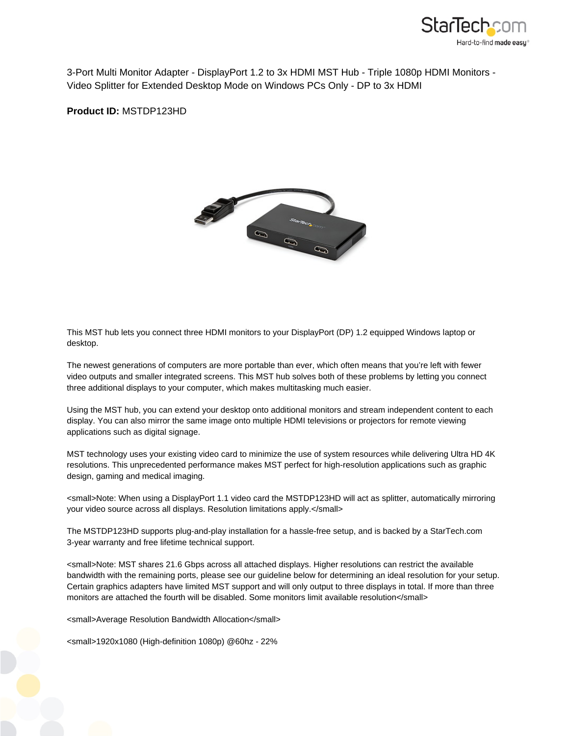

3-Port Multi Monitor Adapter - DisplayPort 1.2 to 3x HDMI MST Hub - Triple 1080p HDMI Monitors - Video Splitter for Extended Desktop Mode on Windows PCs Only - DP to 3x HDMI

**Product ID:** MSTDP123HD



This MST hub lets you connect three HDMI monitors to your DisplayPort (DP) 1.2 equipped Windows laptop or desktop.

The newest generations of computers are more portable than ever, which often means that you're left with fewer video outputs and smaller integrated screens. This MST hub solves both of these problems by letting you connect three additional displays to your computer, which makes multitasking much easier.

Using the MST hub, you can extend your desktop onto additional monitors and stream independent content to each display. You can also mirror the same image onto multiple HDMI televisions or projectors for remote viewing applications such as digital signage.

MST technology uses your existing video card to minimize the use of system resources while delivering Ultra HD 4K resolutions. This unprecedented performance makes MST perfect for high-resolution applications such as graphic design, gaming and medical imaging.

<small>Note: When using a DisplayPort 1.1 video card the MSTDP123HD will act as splitter, automatically mirroring your video source across all displays. Resolution limitations apply.</small>

The MSTDP123HD supports plug-and-play installation for a hassle-free setup, and is backed by a StarTech.com 3-year warranty and free lifetime technical support.

<small>Note: MST shares 21.6 Gbps across all attached displays. Higher resolutions can restrict the available bandwidth with the remaining ports, please see our guideline below for determining an ideal resolution for your setup. Certain graphics adapters have limited MST support and will only output to three displays in total. If more than three monitors are attached the fourth will be disabled. Some monitors limit available resolution</small>

<small>Average Resolution Bandwidth Allocation</small>

<small>1920x1080 (High-definition 1080p) @60hz - 22%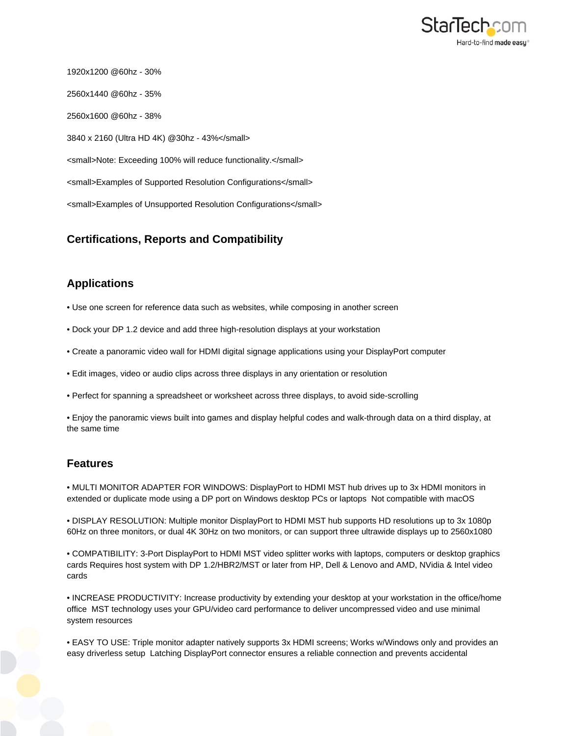

1920x1200 @60hz - 30% 2560x1440 @60hz - 35% 2560x1600 @60hz - 38% 3840 x 2160 (Ultra HD 4K) @30hz - 43%</small> <small>Note: Exceeding 100% will reduce functionality.</small> <small>Examples of Supported Resolution Configurations</small> <small>Examples of Unsupported Resolution Configurations</small>

## **Certifications, Reports and Compatibility**

## **Applications**

- Use one screen for reference data such as websites, while composing in another screen
- Dock your DP 1.2 device and add three high-resolution displays at your workstation
- Create a panoramic video wall for HDMI digital signage applications using your DisplayPort computer
- Edit images, video or audio clips across three displays in any orientation or resolution
- Perfect for spanning a spreadsheet or worksheet across three displays, to avoid side-scrolling

• Enjoy the panoramic views built into games and display helpful codes and walk-through data on a third display, at the same time

## **Features**

• MULTI MONITOR ADAPTER FOR WINDOWS: DisplayPort to HDMI MST hub drives up to 3x HDMI monitors in extended or duplicate mode using a DP port on Windows desktop PCs or laptops Not compatible with macOS

• DISPLAY RESOLUTION: Multiple monitor DisplayPort to HDMI MST hub supports HD resolutions up to 3x 1080p 60Hz on three monitors, or dual 4K 30Hz on two monitors, or can support three ultrawide displays up to 2560x1080

• COMPATIBILITY: 3-Port DisplayPort to HDMI MST video splitter works with laptops, computers or desktop graphics cards Requires host system with DP 1.2/HBR2/MST or later from HP, Dell & Lenovo and AMD, NVidia & Intel video cards

• INCREASE PRODUCTIVITY: Increase productivity by extending your desktop at your workstation in the office/home office MST technology uses your GPU/video card performance to deliver uncompressed video and use minimal system resources

• EASY TO USE: Triple monitor adapter natively supports 3x HDMI screens; Works w/Windows only and provides an easy driverless setup Latching DisplayPort connector ensures a reliable connection and prevents accidental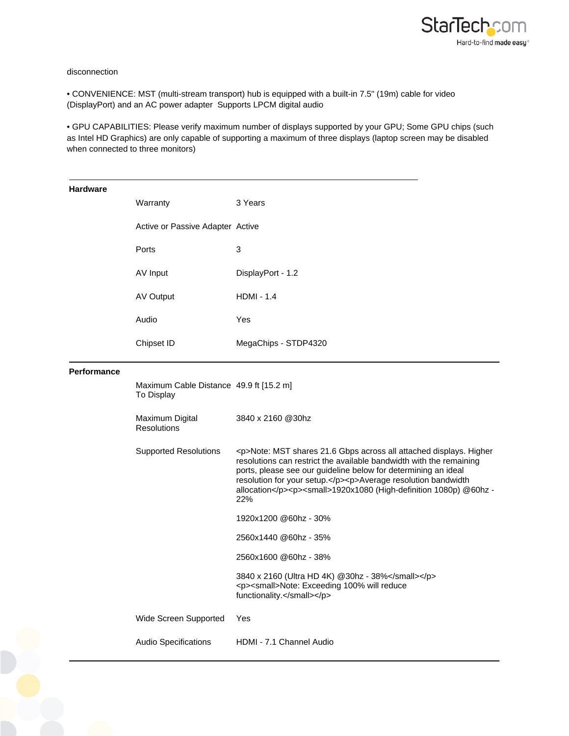

## disconnection

• CONVENIENCE: MST (multi-stream transport) hub is equipped with a built-in 7.5" (19m) cable for video (DisplayPort) and an AC power adapter Supports LPCM digital audio

• GPU CAPABILITIES: Please verify maximum number of displays supported by your GPU; Some GPU chips (such as Intel HD Graphics) are only capable of supporting a maximum of three displays (laptop screen may be disabled when connected to three monitors)

| <b>Hardware</b>    | Warranty                                              | 3 Years                                                                                                                                                                                                                                                                                                                                                                     |
|--------------------|-------------------------------------------------------|-----------------------------------------------------------------------------------------------------------------------------------------------------------------------------------------------------------------------------------------------------------------------------------------------------------------------------------------------------------------------------|
|                    | Active or Passive Adapter Active                      |                                                                                                                                                                                                                                                                                                                                                                             |
|                    | Ports                                                 | 3                                                                                                                                                                                                                                                                                                                                                                           |
|                    | AV Input                                              | DisplayPort - 1.2                                                                                                                                                                                                                                                                                                                                                           |
|                    | AV Output                                             | <b>HDMI - 1.4</b>                                                                                                                                                                                                                                                                                                                                                           |
|                    | Audio                                                 | Yes                                                                                                                                                                                                                                                                                                                                                                         |
|                    | Chipset ID                                            | MegaChips - STDP4320                                                                                                                                                                                                                                                                                                                                                        |
| <b>Performance</b> |                                                       |                                                                                                                                                                                                                                                                                                                                                                             |
|                    | Maximum Cable Distance 49.9 ft [15.2 m]<br>To Display |                                                                                                                                                                                                                                                                                                                                                                             |
|                    | Maximum Digital<br><b>Resolutions</b>                 | 3840 x 2160 @30hz                                                                                                                                                                                                                                                                                                                                                           |
|                    | <b>Supported Resolutions</b>                          | <p>Note: MST shares 21.6 Gbps across all attached displays. Higher<br/>resolutions can restrict the available bandwidth with the remaining<br/>ports, please see our guideline below for determining an ideal<br/>resolution for your setup.</p> <p>Average resolution bandwidth<br/>allocation</p> <p><small>1920x1080 (High-definition 1080p) @60hz -<br/>22%</small></p> |
|                    |                                                       | 1920x1200 @60hz - 30%                                                                                                                                                                                                                                                                                                                                                       |
|                    |                                                       | 2560x1440 @60hz - 35%                                                                                                                                                                                                                                                                                                                                                       |
|                    |                                                       | 2560x1600 @60hz - 38%                                                                                                                                                                                                                                                                                                                                                       |
|                    |                                                       | 3840 x 2160 (Ultra HD 4K) @30hz - 38%<br><p><small>Note: Exceeding 100% will reduce<br/>functionality.</small></p>                                                                                                                                                                                                                                                          |
|                    | Wide Screen Supported                                 | Yes                                                                                                                                                                                                                                                                                                                                                                         |
|                    | Audio Specifications                                  | HDMI - 7.1 Channel Audio                                                                                                                                                                                                                                                                                                                                                    |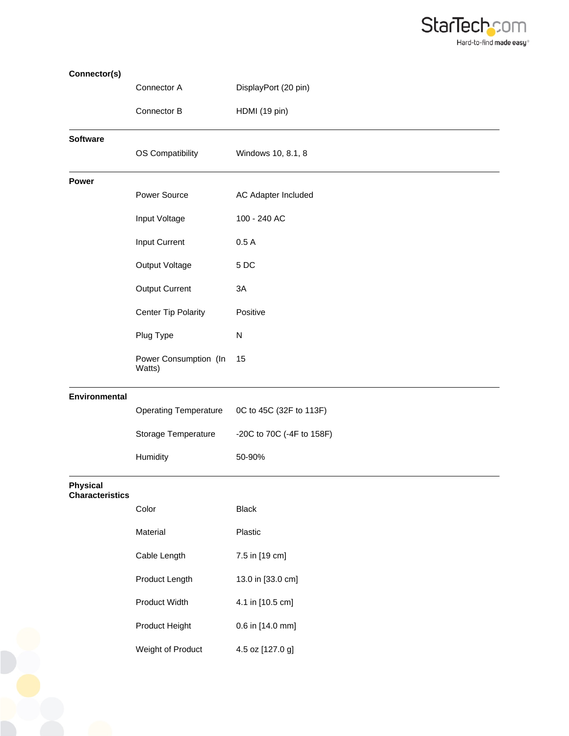

| Connector(s)                              |                                 |                            |
|-------------------------------------------|---------------------------------|----------------------------|
|                                           | Connector A                     | DisplayPort (20 pin)       |
|                                           | Connector B                     | HDMI (19 pin)              |
| <b>Software</b>                           |                                 |                            |
|                                           | OS Compatibility                | Windows 10, 8.1, 8         |
| Power                                     |                                 |                            |
|                                           | Power Source                    | <b>AC Adapter Included</b> |
|                                           | Input Voltage                   | 100 - 240 AC               |
|                                           | Input Current                   | 0.5A                       |
|                                           | Output Voltage                  | 5DC                        |
|                                           | <b>Output Current</b>           | 3A                         |
|                                           | <b>Center Tip Polarity</b>      | Positive                   |
|                                           | Plug Type                       | N                          |
|                                           | Power Consumption (In<br>Watts) | 15                         |
| <b>Environmental</b>                      |                                 |                            |
|                                           | <b>Operating Temperature</b>    | 0C to 45C (32F to 113F)    |
|                                           | Storage Temperature             | -20C to 70C (-4F to 158F)  |
|                                           | Humidity                        | 50-90%                     |
| <b>Physical</b><br><b>Characteristics</b> |                                 |                            |
|                                           | Color                           | <b>Black</b>               |
|                                           | Material                        | Plastic                    |
|                                           | Cable Length                    | 7.5 in [19 cm]             |
|                                           | Product Length                  | 13.0 in [33.0 cm]          |
|                                           | Product Width                   | 4.1 in [10.5 cm]           |
|                                           | Product Height                  | 0.6 in [14.0 mm]           |
|                                           | Weight of Product               | 4.5 oz [127.0 g]           |
|                                           |                                 |                            |